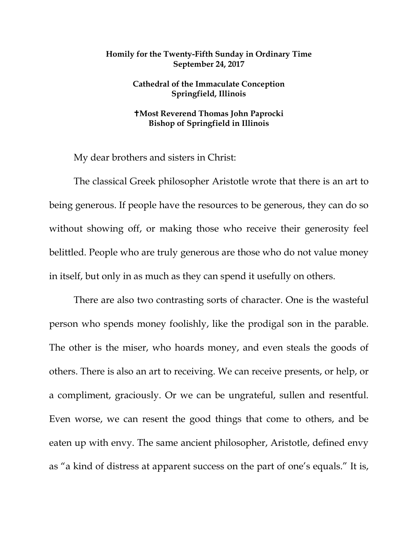## **Homily for the Twenty-Fifth Sunday in Ordinary Time September 24, 2017**

## **Cathedral of the Immaculate Conception Springfield, Illinois**

## **Most Reverend Thomas John Paprocki Bishop of Springfield in Illinois**

My dear brothers and sisters in Christ:

The classical Greek philosopher Aristotle wrote that there is an art to being generous. If people have the resources to be generous, they can do so without showing off, or making those who receive their generosity feel belittled. People who are truly generous are those who do not value money in itself, but only in as much as they can spend it usefully on others.

There are also two contrasting sorts of character. One is the wasteful person who spends money foolishly, like the prodigal son in the parable. The other is the miser, who hoards money, and even steals the goods of others. There is also an art to receiving. We can receive presents, or help, or a compliment, graciously. Or we can be ungrateful, sullen and resentful. Even worse, we can resent the good things that come to others, and be eaten up with envy. The same ancient philosopher, Aristotle, defined envy as "a kind of distress at apparent success on the part of one's equals." It is,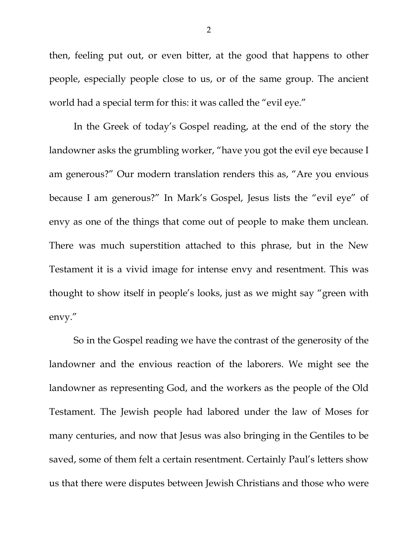then, feeling put out, or even bitter, at the good that happens to other people, especially people close to us, or of the same group. The ancient world had a special term for this: it was called the "evil eye."

In the Greek of today's Gospel reading, at the end of the story the landowner asks the grumbling worker, "have you got the evil eye because I am generous?" Our modern translation renders this as, "Are you envious because I am generous?" In Mark's Gospel, Jesus lists the "evil eye" of envy as one of the things that come out of people to make them unclean. There was much superstition attached to this phrase, but in the New Testament it is a vivid image for intense envy and resentment. This was thought to show itself in people's looks, just as we might say "green with envy."

So in the Gospel reading we have the contrast of the generosity of the landowner and the envious reaction of the laborers. We might see the landowner as representing God, and the workers as the people of the Old Testament. The Jewish people had labored under the law of Moses for many centuries, and now that Jesus was also bringing in the Gentiles to be saved, some of them felt a certain resentment. Certainly Paul's letters show us that there were disputes between Jewish Christians and those who were

2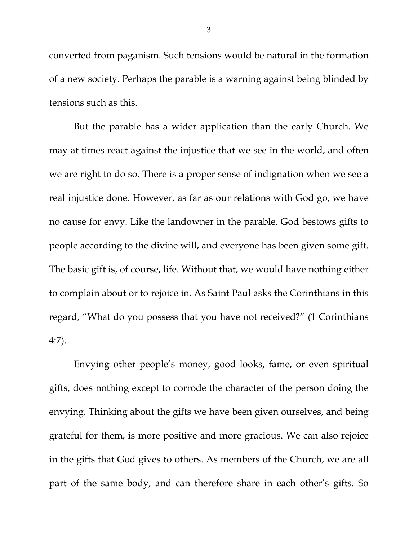converted from paganism. Such tensions would be natural in the formation of a new society. Perhaps the parable is a warning against being blinded by tensions such as this.

But the parable has a wider application than the early Church. We may at times react against the injustice that we see in the world, and often we are right to do so. There is a proper sense of indignation when we see a real injustice done. However, as far as our relations with God go, we have no cause for envy. Like the landowner in the parable, God bestows gifts to people according to the divine will, and everyone has been given some gift. The basic gift is, of course, life. Without that, we would have nothing either to complain about or to rejoice in. As Saint Paul asks the Corinthians in this regard, "What do you possess that you have not received?" (1 Corinthians 4:7).

Envying other people's money, good looks, fame, or even spiritual gifts, does nothing except to corrode the character of the person doing the envying. Thinking about the gifts we have been given ourselves, and being grateful for them, is more positive and more gracious. We can also rejoice in the gifts that God gives to others. As members of the Church, we are all part of the same body, and can therefore share in each other's gifts. So

3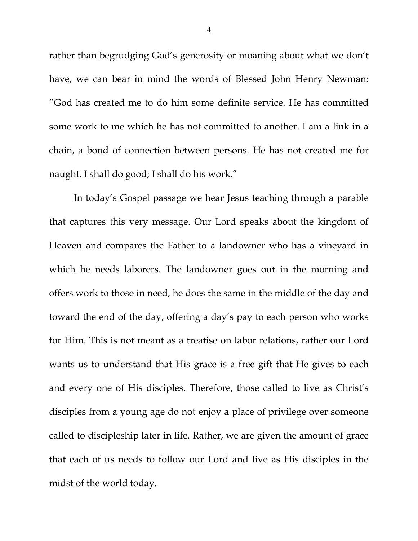rather than begrudging God's generosity or moaning about what we don't have, we can bear in mind the words of Blessed John Henry Newman: "God has created me to do him some definite service. He has committed some work to me which he has not committed to another. I am a link in a chain, a bond of connection between persons. He has not created me for naught. I shall do good; I shall do his work."

In today's Gospel passage we hear Jesus teaching through a parable that captures this very message. Our Lord speaks about the kingdom of Heaven and compares the Father to a landowner who has a vineyard in which he needs laborers. The landowner goes out in the morning and offers work to those in need, he does the same in the middle of the day and toward the end of the day, offering a day's pay to each person who works for Him. This is not meant as a treatise on labor relations, rather our Lord wants us to understand that His grace is a free gift that He gives to each and every one of His disciples. Therefore, those called to live as Christ's disciples from a young age do not enjoy a place of privilege over someone called to discipleship later in life. Rather, we are given the amount of grace that each of us needs to follow our Lord and live as His disciples in the midst of the world today.